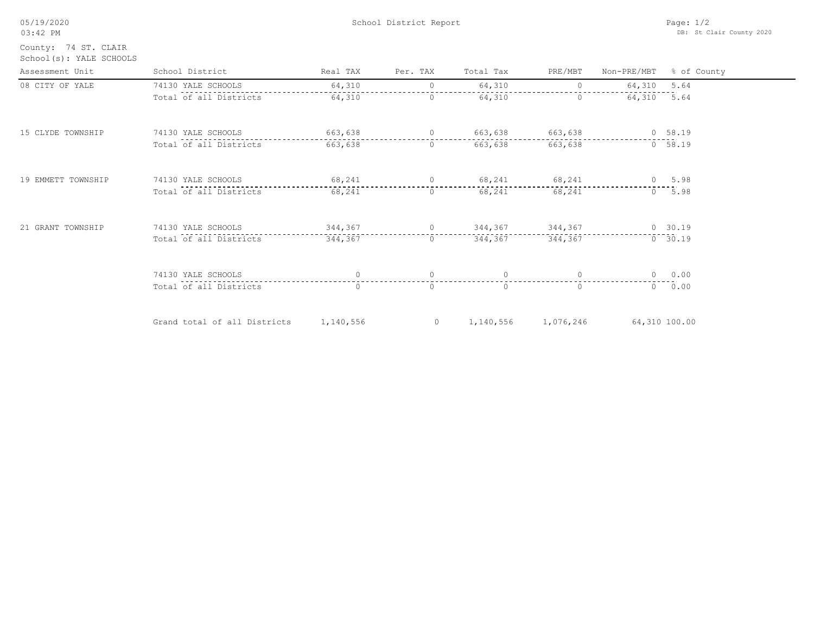| 05/19/2020 |  |
|------------|--|
|------------|--|

School District Report

School(s): YALE SCHOOLS County: 74 ST. CLAIR

| Assessment Unit    | School District                                                          | Real TAX | Per. TAX       | Total Tax PRE/MBT |                 |                 | Non-PRE/MBT % of County |
|--------------------|--------------------------------------------------------------------------|----------|----------------|-------------------|-----------------|-----------------|-------------------------|
| 08 CITY OF YALE    | 74130 YALE SCHOOLS                                                       | 64,310   | $\overline{0}$ | 64,310            |                 | 0 $64,310$ 5.64 |                         |
|                    | Total of all Districts                                                   | 64,310   | $\frac{1}{1}$  | 64,310            |                 | $64,310 - 5.64$ |                         |
| 15 CLYDE TOWNSHIP  | 74130 YALE SCHOOLS<br>--------------------------------                   |          |                |                   |                 |                 |                         |
|                    | Total of all Districts                                                   |          |                |                   |                 |                 |                         |
| 19 EMMETT TOWNSHIP |                                                                          |          |                |                   |                 |                 |                         |
|                    | Total of all Districts                                                   |          | $68,241$ 0     |                   | 68, 241 68, 241 |                 | 0 5.98                  |
| 21 GRANT TOWNSHIP  | 74130 YALE SCHOOLS 6 344, 367 6 344, 367 6 344, 367 6 381.19             |          |                |                   |                 |                 |                         |
|                    | Total of all Districts                                                   |          | 344,367 0      |                   | 344,367 344,367 |                 | 0, 30.19                |
|                    | 74130 YALE SCHOOLS                                                       |          |                |                   |                 |                 | 0 0.00                  |
|                    | Total of all Districts                                                   | $\Omega$ | $\Omega$       | $\Omega$          | $\cap$          |                 | $0 \t 0.00$             |
|                    | Grand total of all Districts 1,140,556 1,140,556 1,076,246 64,310 100.00 |          |                |                   |                 |                 |                         |